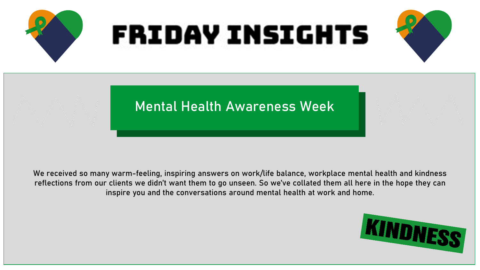

We received so many warm-feeling, inspiring answers on work/life balance, workplace mental health and kindness reflections from our clients we didn't want them to go unseen. So we've collated them all here in the hope they can inspire you and the conversations around mental health at work and home.

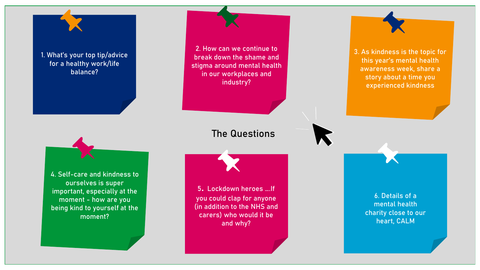[1. What's your top tip/advice](#page-2-0)  for a healthy work/life balance?

> [4. Self-care and kindness to](#page-13-0)  ourselves is super important, especially at the moment - how are you being kind to yourself at the moment?

6. Details of a mental health [charity close to our](#page-20-0)  heart, CALM [5. Lockdown heroes ….If](#page-17-0)  you could clap for anyone (in addition to the NHS and carers) who would it be and why? 2. How can we continue to break down the shame and [stigma around mental health](#page-6-0)  in our workplaces and industry? [3. As kindness is the topic for](#page-10-0)  this year's mental health awareness week, share a story about a time you experienced kindness The Questions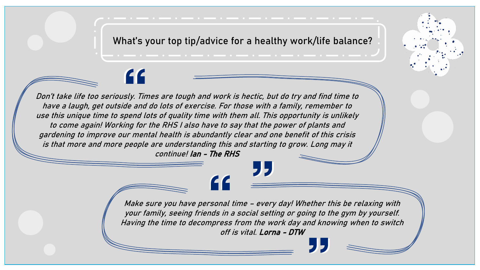What's your top tip/advice for a healthy work/life balance?

<span id="page-2-0"></span>Don't take life too seriously. Times are tough and work is hectic, but do try and find time to have a laugh, get outside and do lots of exercise. For those with a family, remember to use this unique time to spend lots of quality time with them all. This opportunity is unlikely to come again! Working for the RHS I also have to say that the power of plants and gardening to improve our mental health is abundantly clear and one benefit of this crisis is that more and more people are understanding this and starting to grow. Long may it continue! Ian - The RHS

> Make sure you have personal time – every day! Whether this be relaxing with your family, seeing friends in a social setting or going to the gym by yourself. Having the time to decompress from the work day and knowing when to switch off is vital. Lorna - DTW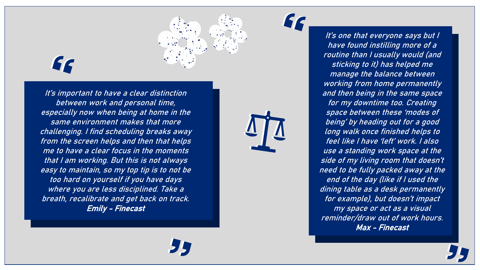

It's important to have a clear distinction between work and personal time, especially now when being at home in the same environment makes that more challenging. I find scheduling breaks away from the screen helps and then that helps me to have a clear focus in the moments that I am working. But this is not always easy to maintain, so my top tip is to not be too hard on yourself if you have days where you are less disciplined. Take a breath, recalibrate and get back on track. Emily - Finecast



It's one that everyone says but I have found instilling more of a routine than I usually would (and sticking to it) has helped me manage the balance between working from home permanently and then being in the same space for my downtime too. Creating space between these 'modes of being' by heading out for a good long walk once finished helps to feel like I have 'left' work. I also use a standing work space at the side of my living room that doesn't need to be fully packed away at the end of the day (like if I used the dining table as a desk permanently for example), but doesn't impact my space or act as a visual reminder/draw out of work hours.

Max - Finecast

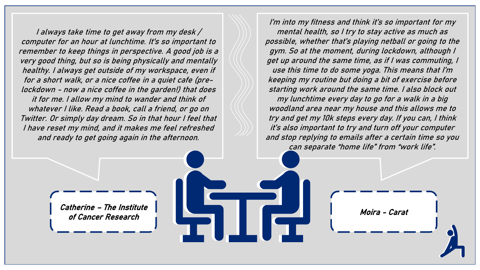I always take time to get away from my desk / computer for an hour at lunchtime. It's so important to remember to keep things in perspective. A good job is a very good thing, but so is being physically and mentally healthy. I always get outside of my workspace, even if for a short walk, or a nice coffee in a quiet cafe (prelockdown - now a nice coffee in the garden!) that does it for me. I allow my mind to wander and think of whatever I like. Read a book, call a friend, or go on Twitter. Or simply day dream. So in that hour I feel that I have reset my mind, and it makes me feel refreshed and ready to get going again in the afternoon.

I'm into my fitness and think it's so important for my mental health, so I try to stay active as much as possible, whether that's playing netball or going to the gym. So at the moment, during lockdown, although I get up around the same time, as if I was commuting, I use this time to do some yoga. This means that I'm keeping my routine but doing a bit of exercise before starting work around the same time. I also block out my lunchtime every day to go for a walk in a big woodland area near my house and this allows me to try and get my 10k steps every day. If you can, I think it's also important to try and turn off your computer and stop replying to emails after a certain time so you can separate "home life" from "work life".

Catherine – The Institute of Cancer Research

Moira - Carat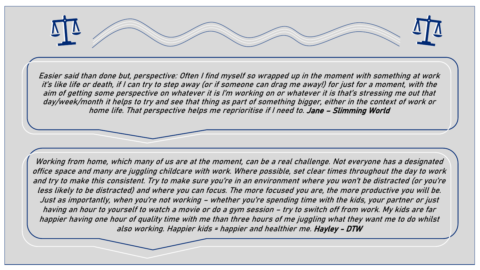

Easier said than done but, perspective: Often I find myself so wrapped up in the moment with something at work it's like life or death, if I can try to step away (or if someone can drag me away!) for just for a moment, with the aim of getting some perspective on whatever it is I'm working on or whatever it is that's stressing me out that day/week/month it helps to try and see that thing as part of something bigger, either in the context of work or home life. That perspective helps me reprioritise if I need to. Jane – Slimming World

Working from home, which many of us are at the moment, can be a real challenge. Not everyone has a designated office space and many are juggling childcare with work. Where possible, set clear times throughout the day to work and try to make this consistent. Try to make sure you're in an environment where you won't be distracted (or you're less likely to be distracted) and where you can focus. The more focused you are, the more productive you will be. Just as importantly, when you're not working – whether you're spending time with the kids, your partner or just having an hour to yourself to watch a movie or do a gym session – try to switch off from work. My kids are far happier having one hour of quality time with me than three hours of me juggling what they want me to do whilst also working. Happier kids = happier and healthier me. Hayley - DTW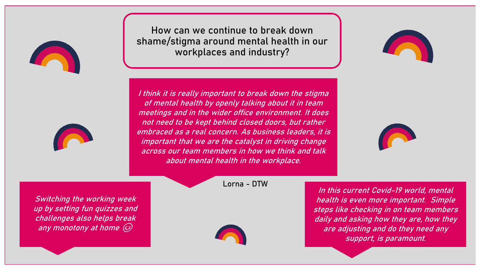<span id="page-6-0"></span>



How can we continue to break down shame/stigma around mental health in our workplaces and industry?

I think it is really important to break down the stigma of mental health by openly talking about it in team meetings and in the wider office environment. It does not need to be kept behind closed doors, but rather embraced as a real concern. As business leaders, it is important that we are the catalyst in driving change across our team members in how we think and talk about mental health in the workplace.



Switching the working week up by setting fun quizzes and challenges also helps break any monotony at home





In this current Covid-19 world, mental health is even more important. Simple steps like checking in on team members daily and asking how they are, how they are adjusting and do they need any support, is paramount.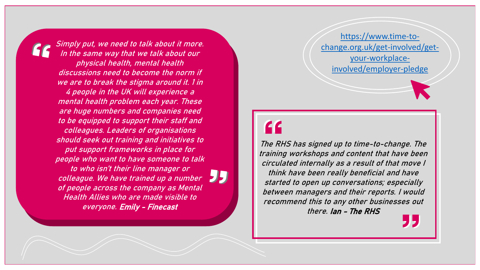Simply put, we need to talk about it more. In the same way that we talk about our physical health, mental health discussions need to become the norm if we are to break the stigma around it. 1 in 4 people in the UK will experience a mental health problem each year. These are huge numbers and companies need to be equipped to support their staff and colleagues. Leaders of organisations should seek out training and initiatives to put support frameworks in place for people who want to have someone to talk to who isn't their line manager or colleague. We have trained up a number of people across the company as Mental Health Allies who are made visible to everyone. Emily - Finecast



https://www.time-to[change.org.uk/get-involved/get](https://www.time-to-change.org.uk/get-involved/get-your-workplace-involved/employer-pledge)your-workplaceinvolved/employer-pledge

The RHS has signed up to time-to-change. The training workshops and content that have been circulated internally as a result of that move I think have been really beneficial and have started to open up conversations; especially between managers and their reports. I would recommend this to any other businesses out there. Ian - The RHS 95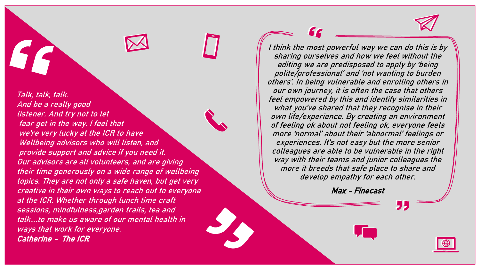$\bigoplus$ 

 $\prod$ 

Talk, talk, talk. And be a really good listener. And try not to let fear get in the way. I feel that we're very lucky at the ICR to have Wellbeing advisors who will listen, and provide support and advice if you need it. Our advisors are all volunteers, and are giving their time generously on a wide range of wellbeing topics. They are not only a safe haven, but get very creative in their own ways to reach out to everyone at the ICR. Whether through lunch time craft sessions, mindfulness,garden trails, tea and talk....to make us aware of our mental health in ways that work for everyone. Catherine - The ICR

I think the most powerful way we can do this is by sharing ourselves and how we feel without the editing we are predisposed to apply by 'being polite/professional' and 'not wanting to burden others'. In being vulnerable and enrolling others in our own journey, it is often the case that others feel empowered by this and identify similarities in what you've shared that they recognise in their own life/experience. By creating an environment of feeling ok about not feeling ok, everyone feels more 'normal' about their 'abnormal' feelings or experiences. It's not easy but the more senior colleagues are able to be vulnerable in the right way with their teams and junior colleagues the more it breeds that safe place to share and develop empathy for each other.

FC

Max - Finecast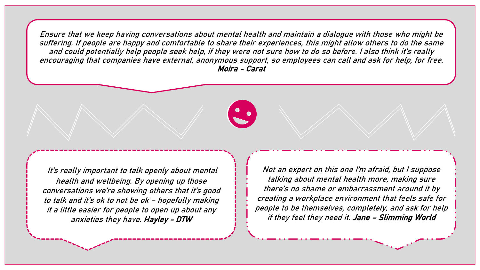Ensure that we keep having conversations about mental health and maintain a dialogue with those who might be suffering. If people are happy and comfortable to share their experiences, this might allow others to do the same and could potentially help people seek help, if they were not sure how to do so before. I also think it's really encouraging that companies have external, anonymous support, so employees can call and ask for help, for free. Moira - Carat



It's really important to talk openly about mental health and wellbeing. By opening up those conversations we're showing others that it's good to talk and it's ok to not be ok – hopefully making it a little easier for people to open up about any anxieties they have. Hayley - DTW

Not an expert on this one I'm afraid, but I suppose talking about mental health more, making sure there's no shame or embarrassment around it by creating a workplace environment that feels safe for people to be themselves, completely, and ask for help if they feel they need it. Jane – Slimming World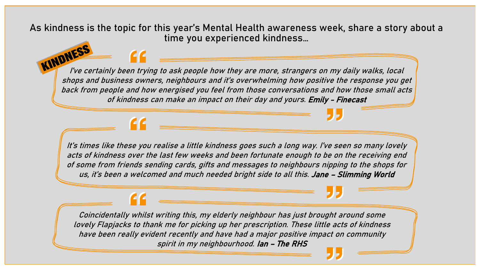<span id="page-10-0"></span>As kindness is the topic for this year's Mental Health awareness week, share a story about a time you experienced kindness…

I've certainly been trying to ask people how they are more, strangers on my daily walks, local shops and business owners, neighbours and it's overwhelming how positive the response you get back from people and how energised you feel from those conversations and how those small acts of kindness can make an impact on their day and yours. Emily - Finecast

It's times like these you realise a little kindness goes such a long way. I've seen so many lovely acts of kindness over the last few weeks and been fortunate enough to be on the receiving end of some from friends sending cards, gifts and messages to neighbours nipping to the shops for us, it's been a welcomed and much needed bright side to all this. Jane – Slimming World

Coincidentally whilst writing this, my elderly neighbour has just brought around some lovely Flapjacks to thank me for picking up her prescription. These little acts of kindness have been really evident recently and have had a major positive impact on community spirit in my neighbourhood. Ian – The RHS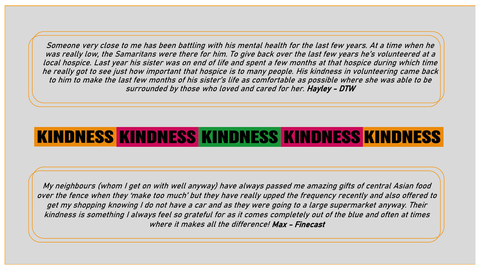Someone very close to me has been battling with his mental health for the last few years. At a time when he was really low, the Samaritans were there for him. To give back over the last few years he's volunteered at a local hospice. Last year his sister was on end of life and spent a few months at that hospice during which time he really got to see just how important that hospice is to many people. His kindness in volunteering came back to him to make the last few months of his sister's life as comfortable as possible where she was able to be surrounded by those who loved and cared for her. Hayley - DTW

## KINDNESS KINDNESS KINDNESS KINDNESS KINDNESS

My neighbours (whom I get on with well anyway) have always passed me amazing gifts of central Asian food over the fence when they 'make too much' but they have really upped the frequency recently and also offered to get my shopping knowing I do not have a car and as they were going to a large supermarket anyway. Their kindness is something I always feel so grateful for as it comes completely out of the blue and often at times where it makes all the difference! Max - Finecast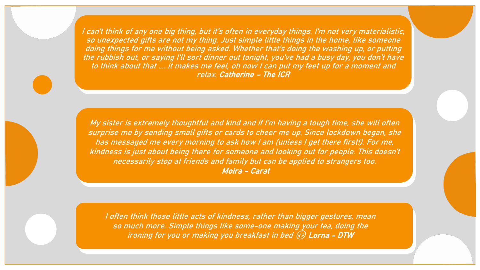I can't think of any one big thing, but it's often in everyday things. I'm not very materialistic, so unexpected gifts are not my thing. Just simple little things in the home, like someone doing things for me without being asked. Whether that's doing the washing up, or putting the rubbish out, or saying I'll sort dinner out tonight, you've had a busy day, you don't have to think about that .... it makes me feel, oh now I can put my feet up for a moment and relax. Catherine – The ICR

My sister is extremely thoughtful and kind and if I'm having a tough time, she will often surprise me by sending small gifts or cards to cheer me up. Since lockdown began, she has messaged me every morning to ask how I am (unless I get there first!). For me, kindness is just about being there for someone and looking out for people. This doesn't necessarily stop at friends and family but can be applied to strangers too. Moira - Carat

I often think those little acts of kindness, rather than bigger gestures, mean so much more. Simple things like some-one making your tea, doing the ironing for you or making you breakfast in bed  $\odot$  Lorna - DTW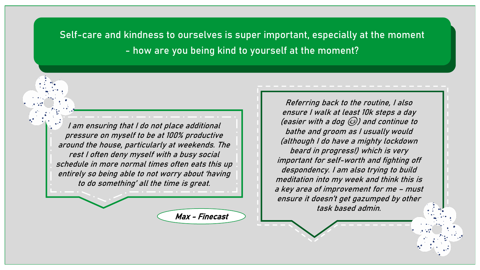<span id="page-13-0"></span>Self-care and kindness to ourselves is super important, especially at the moment - how are you being kind to yourself at the moment?

I am ensuring that I do not place additional pressure on myself to be at 100% productive around the house, particularly at weekends. The rest I often deny myself with a busy social schedule in more normal times often eats this up entirely so being able to not worry about 'having to do something' all the time is great.

Max - Finecast

Referring back to the routine, I also ensure I walk at least 10k steps a day (easier with a dog  $\circledS$ ) and continue to bathe and groom as I usually would (although I do have a mighty lockdown beard in progress!) which is very important for self-worth and fighting off despondency. I am also trying to build meditation into my week and think this is a key area of improvement for me – must ensure it doesn't get gazumped by other task based admin.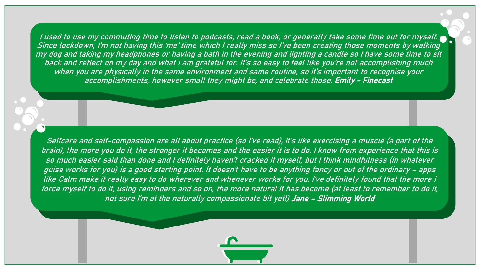I used to use my commuting time to listen to podcasts, read a book, or generally take some time out for myself. Since lockdown, I'm not having this 'me' time which I really miss so I've been creating those moments by walking my dog and taking my headphones or having a bath in the evening and lighting a candle so I have some time to sit back and reflect on my day and what I am grateful for. It's so easy to feel like you're not accomplishing much when you are physically in the same environment and same routine, so it's important to recognise your accomplishments, however small they might be, and celebrate those. Emily - Finecast

Selfcare and self-compassion are all about practice (so I've read), it's like exercising a muscle (a part of the brain), the more you do it, the stronger it becomes and the easier it is to do. I know from experience that this is so much easier said than done and I definitely haven't cracked it myself, but I think mindfulness (in whatever guise works for you) is a good starting point. It doesn't have to be anything fancy or out of the ordinary – apps like Calm make it really easy to do wherever and whenever works for you. I've definitely found that the more I force myself to do it, using reminders and so on, the more natural it has become (at least to remember to do it, not sure I'm at the naturally compassionate bit yet!) Jane – Slimming World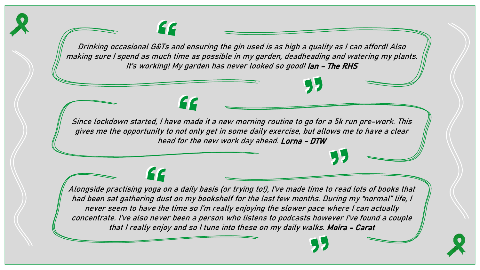Drinking occasional G&Ts and ensuring the gin used is as high a quality as I can afford! Also making sure I spend as much time as possible in my garden, deadheading and watering my plants. It's working! My garden has never looked so good! Ian - The RHS

66

66

Since lockdown started, I have made it a new morning routine to go for a 5k run pre-work. This gives me the opportunity to not only get in some daily exercise, but allows me to have a clear head for the new work day ahead. Lorna - DTW

Alongside practising yoga on a daily basis (or trying to!), I've made time to read lots of books that had been sat gathering dust on my bookshelf for the last few months. During my "normal" life, I never seem to have the time so I'm really enjoying the slower pace where I can actually concentrate. I've also never been a person who listens to podcasts however I've found a couple that I really enjoy and so I tune into these on my daily walks. Moira - Carat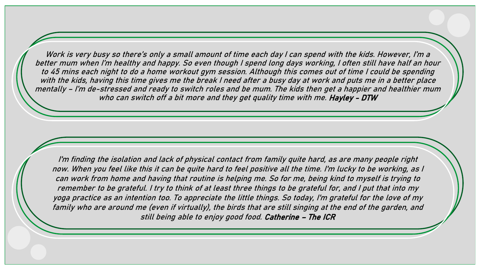Work is very busy so there's only a small amount of time each day I can spend with the kids. However, I'm a better mum when I'm healthy and happy. So even though I spend long days working, I often still have half an hour to 45 mins each night to do a home workout gym session. Although this comes out of time I could be spending with the kids, having this time gives me the break I need after a busy day at work and puts me in a better place mentally – I'm de-stressed and ready to switch roles and be mum. The kids then get a happier and healthier mum who can switch off a bit more and they get quality time with me. Hayley - DTW

I'm finding the isolation and lack of physical contact from family quite hard, as are many people right now. When you feel like this it can be quite hard to feel positive all the time. I'm lucky to be working, as I can work from home and having that routine is helping me. So for me, being kind to myself is trying to remember to be grateful. I try to think of at least three things to be grateful for, and I put that into my yoga practice as an intention too. To appreciate the little things. So today, I'm grateful for the love of my family who are around me (even if virtually), the birds that are still singing at the end of the garden, and still being able to enjoy good food. Catherine – The ICR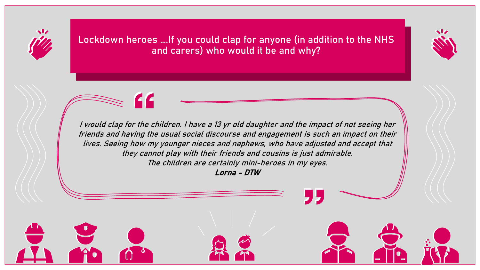<span id="page-17-0"></span>

Lockdown heroes ….If you could clap for anyone (in addition to the NHS and carers) who would it be and why?



I would clap for the children. I have a 13 yr old daughter and the impact of not seeing her friends and having the usual social discourse and engagement is such an impact on their lives. Seeing how my younger nieces and nephews, who have adjusted and accept that they cannot play with their friends and cousins is just admirable. The children are certainly mini-heroes in my eyes.

Lorna - DTW

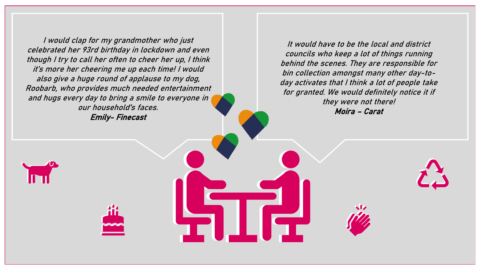I would clap for my grandmother who just celebrated her 93rd birthday in lockdown and even though I try to call her often to cheer her up, I think it's more her cheering me up each time! I would also give a huge round of applause to my dog, Roobarb, who provides much needed entertainment and hugs every day to bring a smile to everyone in our household's faces. Emily- Finecast

It would have to be the local and district councils who keep a lot of things running behind the scenes. They are responsible for bin collection amongst many other day-today activates that I think a lot of people take for granted. We would definitely notice it if they were not there! Moira – Carat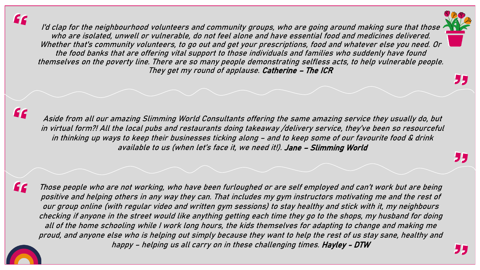66

I'd clap for the neighbourhood volunteers and community groups, who are going around making sure that those  $\prime$ who are isolated, unwell or vulnerable, do not feel alone and have essential food and medicines delivered. Whether that's community volunteers, to go out and get your prescriptions, food and whatever else you need. Or the food banks that are offering vital support to those individuals and families who suddenly have found themselves on the poverty line. There are so many people demonstrating selfless acts, to help vulnerable people. They get my round of applause. Catherine - The ICR

Aside from all our amazing Slimming World Consultants offering the same amazing service they usually do, but in virtual form?! All the local pubs and restaurants doing takeaway /delivery service, they've been so resourceful in thinking up ways to keep their businesses ticking along – and to keep some of our favourite food & drink available to us (when let's face it, we need it!). Jane – Slimming World

Those people who are not working, who have been furloughed or are self employed and can't work but are being positive and helping others in any way they can. That includes my gym instructors motivating me and the rest of our group online (with regular video and written gym sessions) to stay healthy and stick with it, my neighbours checking if anyone in the street would like anything getting each time they go to the shops, my husband for doing all of the home schooling while I work long hours, the kids themselves for adapting to change and making me proud, and anyone else who is helping out simply because they want to help the rest of us stay sane, healthy and happy – helping us all carry on in these challenging times. Hayley - DTW